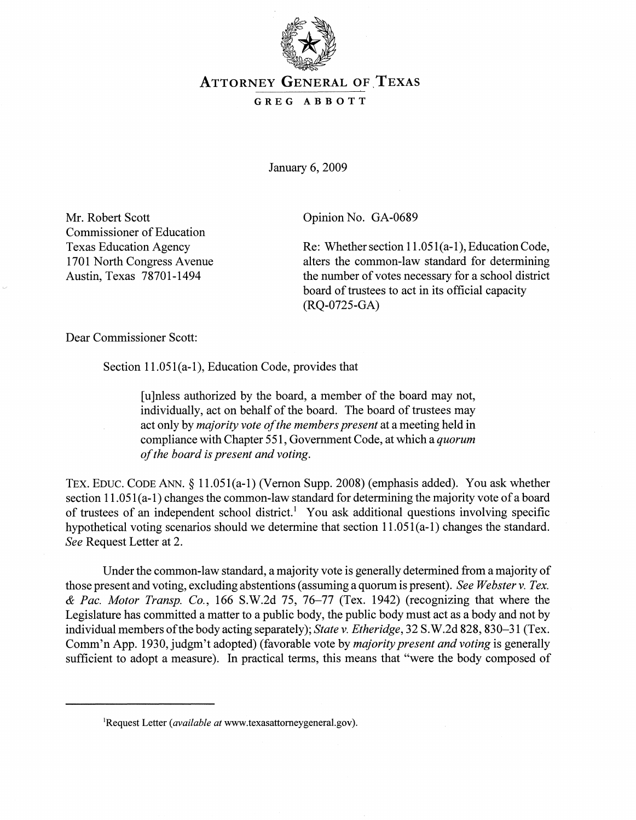

## **ATTORNEY GENERAL OF TEXAS**

## GREG ABBOTT

January 6, 2009

Mr. Robert Scott Commissioner of Education Texas Education Agency 1701 North Congress Avenue Austin, Texas 78701-1494

Opinion No. GA-0689

Re: Whether section 11.051(a-1), Education Code, alters the common-law standard for determining the number of votes necessary for a school district board of trustees to act in its official capacity (RQ-0725-GA)

Dear Commissioner Scott:

Section 11.051(a-I), Education Code, provides that

[u]nless authorized by the board, a member of the board may not, individually, act on behalf of the board. The board of trustees may act only by *majority vote ofthe members present* at a meeting held in compliance with Chapter 551, Government Code, at which a *quorum ofthe board is present and voting.*

TEX. EDUC. CODE ANN. § 11.051(a-I) (Vernon Supp. 2008) (emphasis added). You ask whether section  $11.051(a-1)$  changes the common-law standard for determining the majority vote of a board of trustees of an independent school district.<sup>1</sup> You ask additional questions involving specific hypothetical voting scenarios should we determine that section 11.051(a-l) changes the standard. *See* Request Letter at 2.

Under the common-law standard, a majority vote is generally determined from a majority of those present and voting, excluding abstentions (assuming a quorum is present). *See Webster* v. *Tex. & Pac. Motor Transp. Co.,* 166 S.W.2d 75, 76-77 (Tex. 1942) (recognizing that where the Legislature has committed a matter to a public body, the public body must act as a body and not by individual members ofthe body acting separately); *State* v. *Etheridge,* 32 S.W.2d 828, 830-31 (Tex. Comm'n App. 1930, judgm't adopted) (favorable vote by *majority present and voting* is generally sufficient to adopt a measure). In practical terms, this means that "were the body composed of

lRequest Letter *(available at* www.texasattomeygeneral.gov).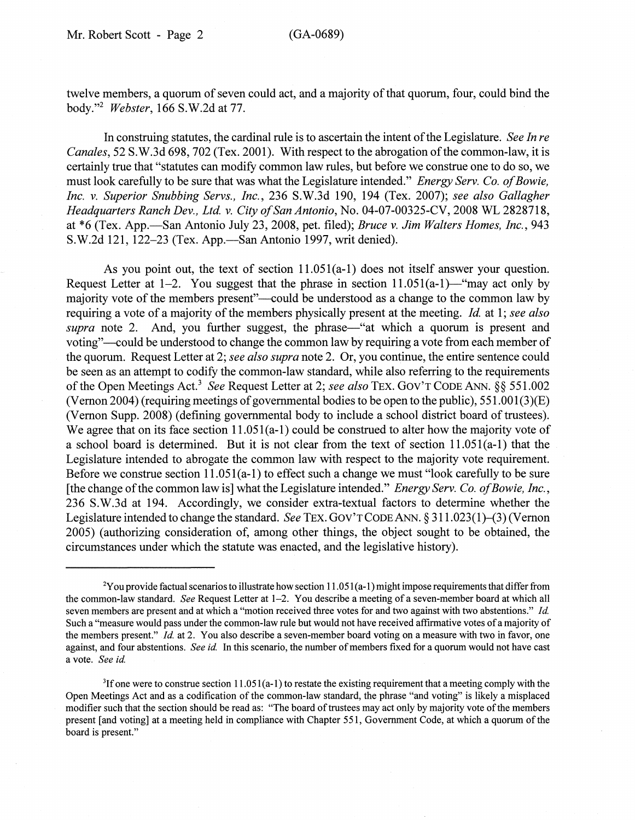twelve members, a quorum of seven could act, and a majority of that quorum, four, could bind the body."2 *Webster,* 166 S.W.2d at 77.

In construing statutes, the cardinal rule is to ascertain the intent ofthe Legislature. *See In re Canales,* 52 S.W.3d 698, 702 (Tex. 2001). With respect to the abrogation ofthe common-law, it is certainly true that "statutes can modify common law rules, but before we construe one to do so, we must look carefully to be sure that was what the Legislature intended." *Energy Serv. Co. of Bowie*, *Inc.* v. *Superior Snubbing Servs., Inc.,* 236 S.W.3d 190, 194 (Tex. 2007); *see also Gallagher Headquarters Ranch Dev., Ltd.* v. *City ofSan Antonio,* No. 04-07-00325-CV, 2008 WL 2828718, at \*6 (Tex. App.-San Antonio July 23, 2008, pet. filed); *Bruce* v. *Jim Walters Homes, Inc., 943* S.W.2d 121, 122–23 (Tex. App.—San Antonio 1997, writ denied).

As you point out, the text of section 11.051(a-l) does not itself answer your question. Request Letter at 1-2. You suggest that the phrase in section  $11.051(a-1)$ —"may act only by majority vote of the members present"—could be understood as a change to the common law by requiring a vote of a majority of the members physically present at the meeting. *Id.* at 1; *see also supra* note 2. And, you further suggest, the phrase—"at which a quorum is present and voting"-could be understood to change the common law by requiring a vote from each member of the quorum. Request Letter at 2; *see also supra* note 2. Or, you continue, the entire sentence could be seen as an attempt to codify the common-law standard, while also referring to the requirements ofthe Open Meetings Act.<sup>3</sup> *See* Request Letter at 2; *see also* TEX. GOV'T CODE ANN. §§ 551.002 (Vernon 2004) (requiring meetings of governmental bodies to be open to the public),  $551.001(3)(E)$ (Vernon Supp. 2008) (defining governmental body to include a school district board of trustees). We agree that on its face section 11.051(a-1) could be construed to alter how the majority vote of a school board is determined. But it is not clear from the text of section 11.051(a-l) that the Legislature intended to abrogate the common law with respect to the majority vote requirement. Before we construe section 11.051(a-I) to effect such a change we must "look carefully to be sure [the change of the common law is] what the Legislature intended." *Energy Serv. Co. of Bowie, Inc.*, 236 S.W.3d at 194. Accordingly, we consider extra-textual factors to determine whether the Legislature intended to change the standard. *See* TEX. GOV'TCODEANN. § 311.023(1)-(3) (Vernon 2005) (authorizing consideration of, among other things, the object sought to be obtained, the circumstances under which the statute was enacted, and the legislative history).

<sup>&</sup>lt;sup>2</sup>You provide factual scenarios to illustrate how section 11.051(a-1) might impose requirements that differ from the common-law standard. *See* Request Letter at 1-2. You describe a meeting of a seven-member board at which all seven members are present and at which a "motion received three votes for and two against with two abstentions." *Id.* Such a "measure would pass under the common-law rule but would not have received affrrmative votes ofa majority of the members present." *Id.* at 2. You also describe a seven-member board voting on a measure with two in favor, one against, and four abstentions. *See id*. In this scenario, the number of members fixed for a quorum would not have cast a vote. *See id*

 ${}^{3}$ If one were to construe section 11.051(a-1) to restate the existing requirement that a meeting comply with the Open Meetings Act and as a codification of the common-law standard, the phrase "and voting" is likely a misplaced modifier such that the section should be read as: "The board of trustees may act only by majority vote of the members present [and voting] at a meeting held in compliance with Chapter 551, Government Code, at which a quorum of the board is present."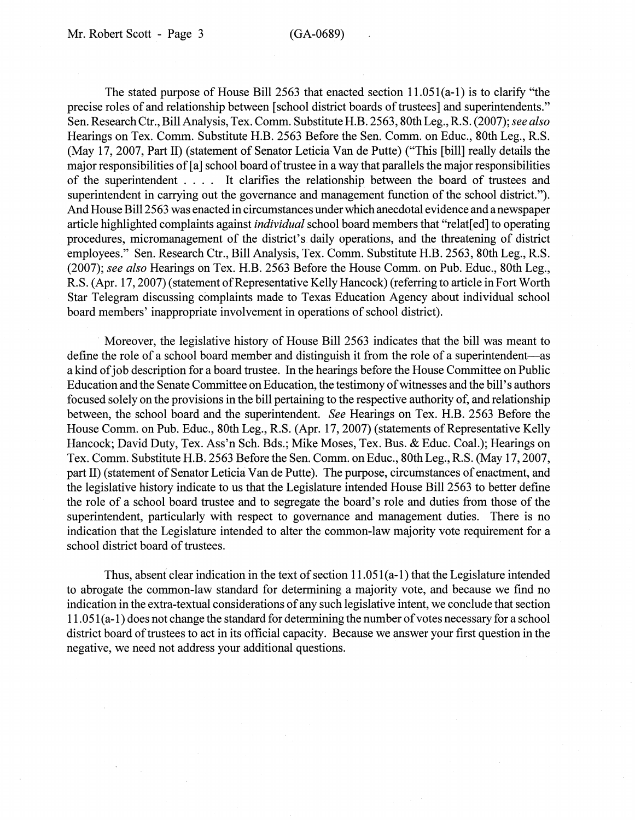The stated purpose of House Bill 2563 that enacted section 11.051(a-I) is to clarify "the precise roles of and relationship between [school district boards of trustees] and superintendents." Sen. Research Ctr., Bill Analysis, Tex. Comm. Substitute H.B. 2563, 80thLeg., R.S. (2007); *see also* Hearings on Tex. Comm. Substitute H.B. 2563 Before the Sen. Comm. on Educ., 80th Leg., R.S. (May 17, 2007, Part II) (statement of Senator Leticia Van de Putte) ("This [bill] really details the major responsibilities of [a] school board of trustee in a way that parallels the major responsibilities of the superintendent . . .. It clarifies the relationship. between the board of trustees and superintendent in carrying out the governance and management function of the school district."). And House Bill 2563 was enacted in circumstances under which anecdotal evidence and a newspaper article highlighted complaints against *individual* school board members that "relat[ed] to operating procedures, micromanagement of the district's. daily operations, and the threatening of district employees." Sen. Research Ctr., Bill Analysis, Tex. Comm. Substitute H.B. 2563, 80th Leg., R.S. *(2007); see also* Hearings on Tex. H.B. 2563 Before the House Comm. on Pub. Educ., 80th Leg., R.S. (Apr. 17, 2007) (statement of Representative Kelly Hancock) (referring to article in Fort Worth Star Telegram discussing complaints made to Texas Education Agency about individual school board members' inappropriate involvement in operations of school district).

. Moreover, the legislative history of House Bill 2563 indicates that the bill was meant to define the role of a school board member and distinguish it from the role of a superintendent—as a kind of job description for a board trustee. In the hearings before the House Committee on Public Education and the Senate Committee on Education, the testimony of witnesses and the bill's authors focused solely on the provisions in the bill pertaining to the respective authority of, and relationship between, the school board and the superintendent. *See* Hearings on Tex. H.B. 2563 Before the House Comm. on Pub. Educ., 80th Leg., R.S. (Apr. 17, 2007) (statements of Representative Kelly Hancock; David Duty, Tex. Ass'n Sch. Bds.; Mike Moses, Tex. Bus. & Educ. Coal.); Hearings on Tex. Comm. Substitute H.B. 2563'Before the Sen. Comm. on Educ., 80th Leg., R.S. (May 17, 2007, part II) (statement of Senator Leticia Van de Putte). The purpose, circumstances of enactment, and the legislative history indicate to us that the Legislature intended House Bill 2563 to better define the role of a school board trustee and to segregate the board's role and duties from those of the superintendent, particularly with respect to governance and management duties. There is no indication that the Legislature intended to alter the common-law majority vote requirement for a school district board of trustees.

Thus, absent clear indication in the text of section  $11.051(a-1)$  that the Legislature intended to abrogate the common-law standard for determining a majority vote, and because we find no indication in the extra-textual considerations of any such legislative intent, we conclude that section 11.051(a-I) does not change the standard for determining the number ofvotes necessary for a school district board of trustees to act in its official capacity. Because we answer your first question in the negative, we need not address your additional questions.